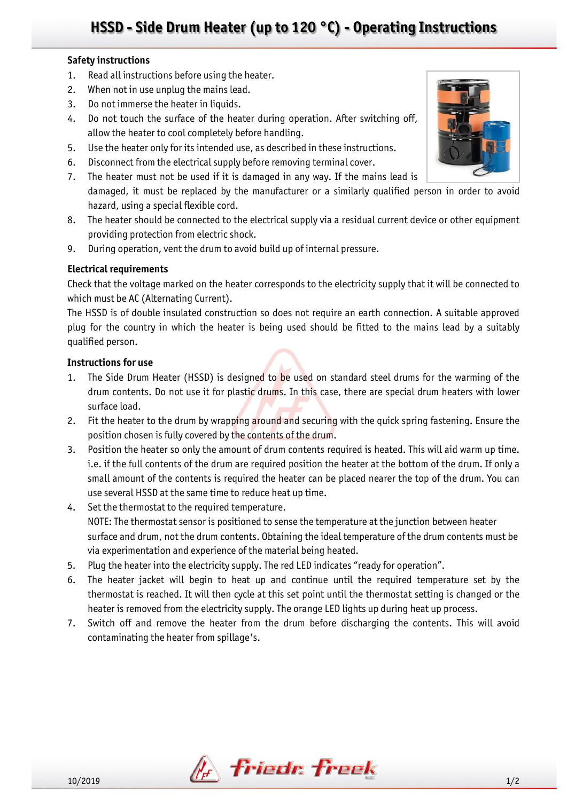# **HSSD - Side Drum Heater (up to 120 °C) - Operating Instructions**

### **Safety instructions**

- 1. Read all instructions before using the heater.
- 2. When not in use unplug the mains lead.
- 3. Do not immerse the heater in liquids.
- 4. Do not touch the surface of the heater during operation. After switching off, allow the heater to cool completely before handling.
- 5. Use the heater only for its intended use, as described in these instructions.
- 6. Disconnect from the electrical supply before removing terminal cover.
- 7. The heater must not be used if it is damaged in any way. If the mains lead is damaged, it must be replaced by the manufacturer or a similarly qualified person in order to avoid hazard, using a special flexible cord.
- 8. The heater should be connected to the electrical supply via a residual current device or other equipment providing protection from electric shock.
- 9. During operation, vent the drum to avoid build up of internal pressure.

## **Electrical requirements**

Check that the voltage marked on the heater corresponds to the electricity supply that it will be connected to which must be AC (Alternating Current).

The HSSD is of double insulated construction so does not require an earth connection. A suitable approved plug for the country in which the heater is being used should be fitted to the mains lead by a suitably qualified person.

### **Instructions for use**

- 1. The Side Drum Heater (HSSD) is designed to be used on standard steel drums for the warming of the drum contents. Do not use it for plastic drums. In this case, there are special drum heaters with lower surface load.
- 2. Fit the heater to the drum by wrapping around and securing with the quick spring fastening. Ensure the position chosen is fully covered by the contents of the drum.
- 3. Position the heater so only the amount of drum contents required is heated. This will aid warm up time. i.e. if the full contents of the drum are required position the heater at the bottom of the drum. If only a small amount of the contents is required the heater can be placed nearer the top of the drum. You can use several HSSD at the same time to reduce heat up time.
- 4. Set the thermostat to the required temperature. NOTE: The thermostat sensor is positioned to sense the temperature at the junction between heater surface and drum, not the drum contents. Obtaining the ideal temperature of the drum contents must be via experimentation and experience of the material being heated.
- 5. Plug the heater into the electricity supply. The red LED indicates "ready for operation".
- 6. The heater jacket will begin to heat up and continue until the required temperature set by the thermostat is reached. It will then cycle at this set point until the thermostat setting is changed or the heater is removed from the electricity supply. The orange LED lights up during heat up process.
- 7. Switch off and remove the heater from the drum before discharging the contents. This will avoid contaminating the heater from spillage's.